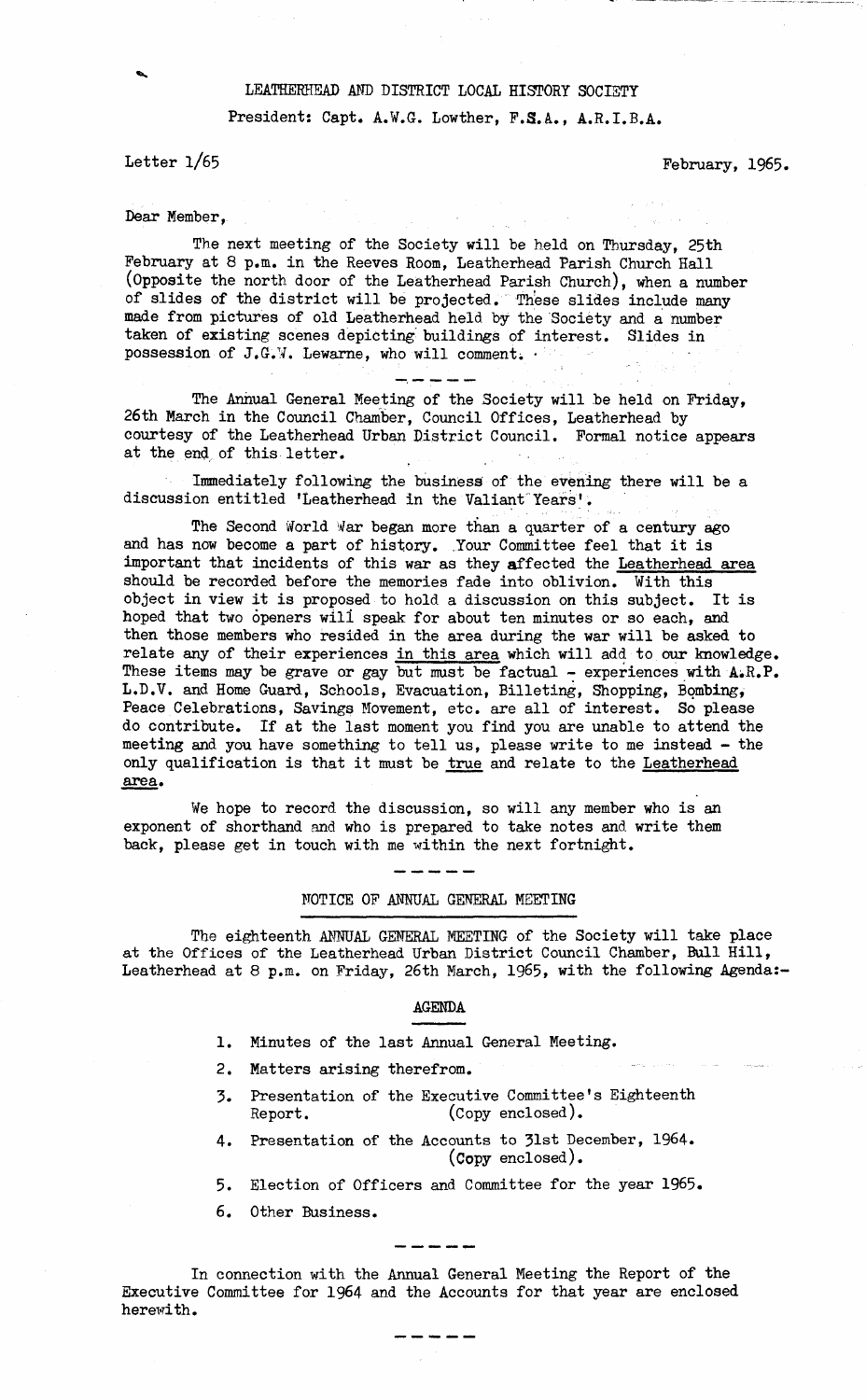## **LEATHERHEAD AND DISTRICT LOCAL HISTORY SOCIETY**

**Presidents Capt. A.W.G. Lowther, F.S.A., A.R.I.B.A.**

Letter  $1/65$  February, 1965.

**Dear Member,**

**The next meeting of the Society will be held on Thursday, 25th February at 8 p.m. in the Reeves Room, Leatherhead Parish Church Hall (Opposite the north door of the Leatherhead Parish Church), when a number of slides of the district will be projected. These slides include many** made from pictures of old Leatherhead held by the Society and a number **taken of existing scenes depicting buildings of interest. Slides in** possession of J.G.W. Lewarne, who will comment.  $\cdot$ 

**The Annual General Meeting of the Society will be held on Friday, 26th March in the Council Chamber, Council Offices, Leatherhead by courtesy of the Leatherhead Urban District Council. Formal notice appears at the end of this letter.**

**Immediately following the business of the evening there will be a discussion entitled 'Leatherhead in the Valiant Years'.**

The Second World War began more than a quarter of a century ago **and has now become a part of history. Your Committee feel that it is important that incidents of this war as they affected the Leatherhead area should be recorded before the memories fade into oblivion. With this object in view it is proposed to hold a discussion on this subject. It is hoped that two openers will speak for about ten minutes or so each, and then those members who resided in the area during the war will be asked to relate any of their experiences in this area which will add to our knowledge. These items may be grave or gay but must be factual - experiences with AiR.P. L.D.V. and Home Guard, Schools, Evacuation, Billeting, Shopping, Bombing, Peace Celebrations, Savings Movement, etc. are all of interest. So please do contribute. If at the last moment you find you are unable to attend the meeting and you have something to tell us, please write to me instead - the only qualification is that it must be true and relate to the Leatherhead area.**

**We hope to record the discussion, so will any member who is an exponent of shorthand and who is prepared to take notes and write them back, please get in touch with me within the next fortnight.**

**NOTICE OF ANNUAL GENERAL MEETING**

**The eighteenth ANNUAL GENERAL MEETING of the Society will take place at the Offices of the Leatherhead Urban District Council Chamber, Bull Hill, Leatherhead at 8 p.m. on Friday, 26th March, 1965, with the following Agenda:-**

#### **AGENDA**

- **1. Minutes of the last Annual General Meeting.**
- **2. Matters arising therefrom.**
- **3. Presentation of the Executive Committee's Eighteenth Report. (Copy enclosed).**
- **4. Presentation of the Accounts to 31st December, 1964. (Copy enclosed).**
- **5. Election of Officers and Committee for the year 1965.**
- **6. Other Business.**

**In connection with the Annual General Meeting the Report of the Executive Committee for 1964 and the Accounts for that year are enclosed herewith.**

-----

------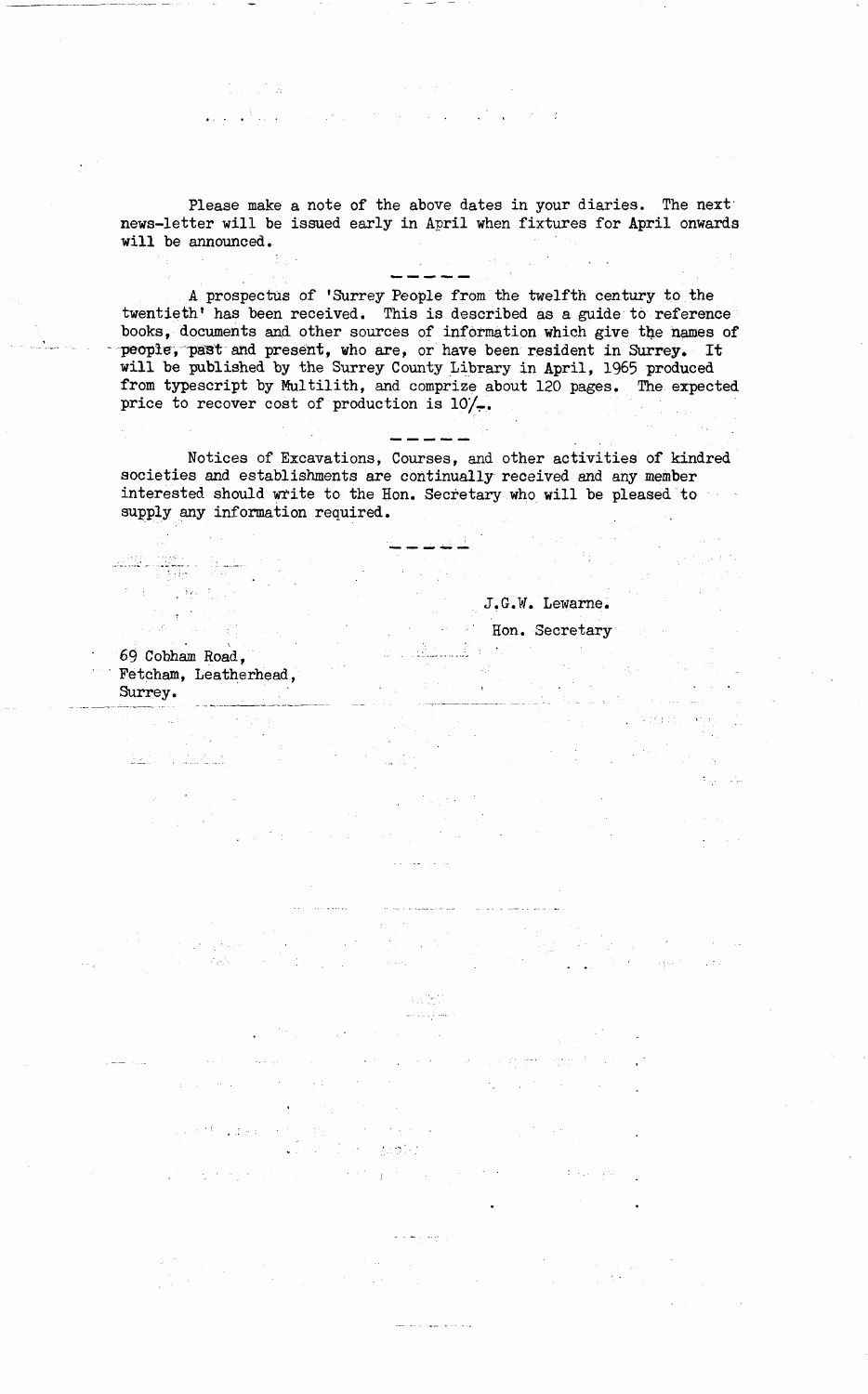**Please make a note of the above dates in your diaries. The next' news-letter will be issued early in April when fixtures for April onwards will be announced.**

**A prospectus of 'Surrey People from the twelfth century to the** twentieth' has been received. This is described as a guide to reference **books, documents and other sources of information which give the names of people, past and present, who are, or have been resident in Surrey. It will be published by the Surrey County Library in April, 1965 produced from typescript by Multilith, and comprize about 120 pages. The expected price to recover cost of production is 10/-.**

**Notices of Excavations, Courses, and other activities of kindred societies and establishments are continually received and any member interested should widte to the Hon. Secretary who will be pleased to supply any information required.**

 $\mathcal{A}=\mathcal{I}$  .

 $\frac{1}{2\sqrt{2}}\sum_{i=1}^{N} \frac{1}{2}$ 

**J.G.W. Lewarae.**

 $\mathcal{A}^{\dagger}_{\mathcal{A}}$  $\chi^2$  ,  $\chi^2$ 

سواد والمتعارف ومستدار والأوالي والمرادة

# **Hon. Secretary**

 $\sim 10^{-11}$ 

 $\mathcal{L}^{\text{max}}$ 

 $\frac{1}{\alpha}$  ,  $\frac{1}{\alpha}$  ,

 $\Delta_{\rm p} \sim 1$  $\omega_{\rm c}$  ,  $\omega_{\rm p}$ 

**September** 

**69 Cobham Road, ...- Fetcham, Leatherhead, Surrey.**

 $\mathbb{E}_{\frac{\partial}{\partial t}}\mathbb{E}_{\mathbb{E}_{\frac{\partial}{\partial t}}} \left[ \mathbb{E}_{\frac{\partial}{\partial t}}\left[ \frac{\partial}{\partial t} \mathbb{E}_{\frac{\partial}{\partial t}} \mathbb{E}_{\frac{\partial}{\partial t}} \right] \mathbb{E}_{\frac{\partial}{\partial t}} \right] = 0.$ 

n<br>Samuel State (1990)

 $\chi^2$  ,  $\chi^2$ 

gan<br>Tudej tudi

iell#rill#fire (†<br>State († 1940)<br>State († 1940)

10. 日保

2014年1月10日

#### $\S333$ للمحادث بالمائية

- 
- 

 $\mathbf{r} = \mathbf{r} \times \mathbf{r}$  , where  $\mathbf{r}$ 

- $\label{eq:2.1} \mathcal{L}_{\mathcal{A}} = \left\{ \begin{array}{ll} \mathcal{L}_{\mathcal{A}} & \mathcal{L}_{\mathcal{A}} & \mathcal{L}_{\mathcal{A}} \\ \mathcal{L}_{\mathcal{A}} & \mathcal{L}_{\mathcal{A}} & \mathcal{L}_{\mathcal{A}} \\ \mathcal{L}_{\mathcal{A}} & \mathcal{L}_{\mathcal{A}} & \mathcal{L}_{\mathcal{A}} \end{array} \right. \quad \text{and} \quad \mathcal{L}_{\mathcal{A}} = \mathcal{L}_{\mathcal{A}} \left( \begin{array}{ll} \mathcal{L}_{\mathcal{A}} & \mathcal{L}_{$
- - $\mathbb{E}_{\mathbb{E}_{\mathbb{E}_{\mathbb{E}_{\mathbb{E}_{\mathbb{E}_{\mathbb{E}_{\mathbb{E}_{\mathbb{E}_{\mathbb{E}_{\mathbb{E}_{\mathbb{E}_{\mathbb{E}_{\mathbb{E}_{\mathbb{E}_{\mathbb{E}_{\mathbb{E}_{\mathbb{E}_{\mathbb{E}}\mathbb{E}_{\mathbb{E}}\mathbb{E}_{\mathbb{E}}\mathbb{E}_{\mathbb{E}}\mathbb{E}}\mathbb{E}}}}\mathbb{E}_{\mathbb{E}_{\mathbb{E}_{\mathbb{E}_{\mathbb{E}}\mathbb{E}}\mathbb{E}_{\mathbb{E}_{\mathbb{E}}\mathbb$ and the stage of the Dan Kabupaté  $\mathcal{L}=\frac{1}{2}\left(1-\frac{1}{2}\right)$
- $\label{eq:2} \langle \hat{u}^{\dagger} \hat{u}^{\dagger} \hat{u}^{\dagger}_{\dagger} \hat{g}^{\dagger}_{\dagger} \hat{u}^{\dagger}_{\dagger} \rangle = \hat{u}^{\dagger}_{\dagger} \hat{u}^{\dagger}_{\dagger} \hat{u}^{\dagger}_{\dagger} \hat{u}^{\dagger}_{\dagger} \hat{u}^{\dagger}_{\dagger}$ 
	-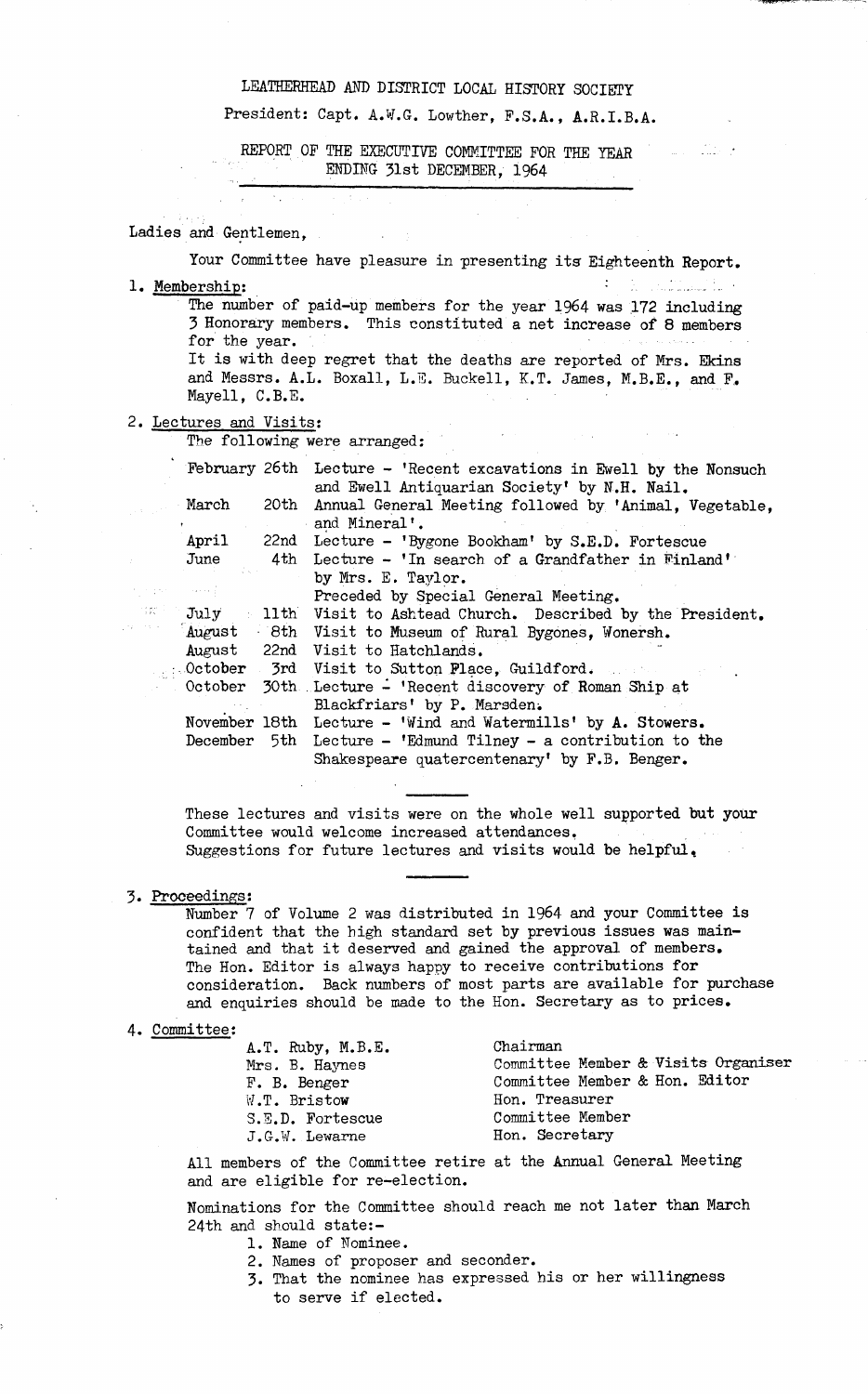### **LEATHERHEAD AND DISTRICT LOCAL HISTORY SOCIETY**

**President: Capt. A.V.G. Lowther, P.S.A., A.R.I.B.A.**

والتقطيب المساد

**REPORT OP THE EXECUTIVE COMMITTEE FOR THE YEAR** ENDING 31st DECEMBER, 1964

#### **Ladies and Gentlemen, .**

**Your Committee have pleasure in presenting its Eighteenth Report. 1. Membership: —**

The number of paid-up members for the year 1964 was 172 including **3 Honorary members. This constituted a net increase of 8 members for the year.**

**It is with deep regret that the deaths are reported of Mrs. Ekins and Messrs. A.L. Boxall, L.E. Buckell, K.T. James, M.B.E., and F. Mayell, C.B.E.**

 $\label{eq:1} \frac{1}{\sqrt{2}}\int_{\mathbb{R}^3}\frac{1}{\sqrt{2}}\left(\frac{1}{\sqrt{2}}\right)^2\left(\frac{1}{\sqrt{2}}\right)^2\left(\frac{1}{\sqrt{2}}\right)^2\left(\frac{1}{\sqrt{2}}\right)^2.$ 

**Collection** 

#### **2. Lectures and Visits:**

in ber  $\tau_1=\tau_2$  . **The following were arranged:**

|     |        | February 26th Lecture - 'Recent excavations in Ewell by the Nonsuch                                                          |
|-----|--------|------------------------------------------------------------------------------------------------------------------------------|
|     | March  | and Ewell Antiquarian Society' by N.H. Nail.<br>20th Annual General Meeting followed by 'Animal, Vegetable,<br>and Mineral'. |
|     | April  | 22nd Lecture - 'Bygone Bookham' by S.E.D. Fortescue                                                                          |
|     | June   | 4th Lecture - 'In search of a Grandfather in Finland'                                                                        |
|     |        | by Mrs. E. Taylor.                                                                                                           |
|     |        | Preceded by Special General Meeting.                                                                                         |
| 言説す |        | July 11th Visit to Ashtead Church. Described by the President.                                                               |
|     | August | 8th Visit to Museum of Rural Bygones, Wonersh.                                                                               |
|     |        | August 22nd Visit to Hatchlands.                                                                                             |
|     |        | October 3rd Visit to Sutton Place, Guildford.                                                                                |
|     |        | October 30th Lecture - 'Recent discovery of Roman Ship at                                                                    |
|     |        | Blackfriars' by P. Marsden.                                                                                                  |
|     |        | November 18th Lecture - 'Wind and Watermills' by A. Stowers.                                                                 |
|     |        | December 5th Lecture - 'Edmund Tilney - a contribution to the                                                                |
|     |        | Shakespeare quatercentenary' by F.B. Benger.                                                                                 |

**These lectures and visits were on the whole well supported but your Committee would welcome increased attendances,** Suggestions for future lectures and visits would be helpful.

#### **3. Proceedings:**

**Number 7 of Volume 2 was distributed in 1964 and your Committee is confident that the high standard set by previous issues was maintained and that it deserved and gained the approval of members. The Hon. Editor is always happy to receive contributions for consideration. Back numbers of most parts are available for purchase and enquiries should be made to the Hon. Secretary as to prices.**

#### **4. Committee:**

| $A.T.$ Ruby, M.B.E. | Chairman                            |
|---------------------|-------------------------------------|
| Mrs. B. Haynes      | Committee Member & Visits Organiser |
| F. B. Benger        | Committee Member & Hon. Editor      |
| W.T. Bristow        | Hon. Treasurer                      |
| S.E.D. Fortescue    | Committee Member                    |
| J.G.W. Lewarne      | Hon. Secretary                      |

**All members of the Committee retire at the Annual General Meeting and are eligible for re-election.**

**Nominations for the Committee should reach me not later than March 24th and should state:-**

- **1. Name of Nominee.**
- **2. Names of proposer and seconder.**
- **3. That the nominee has expressed his or her willingness to serve if elected.**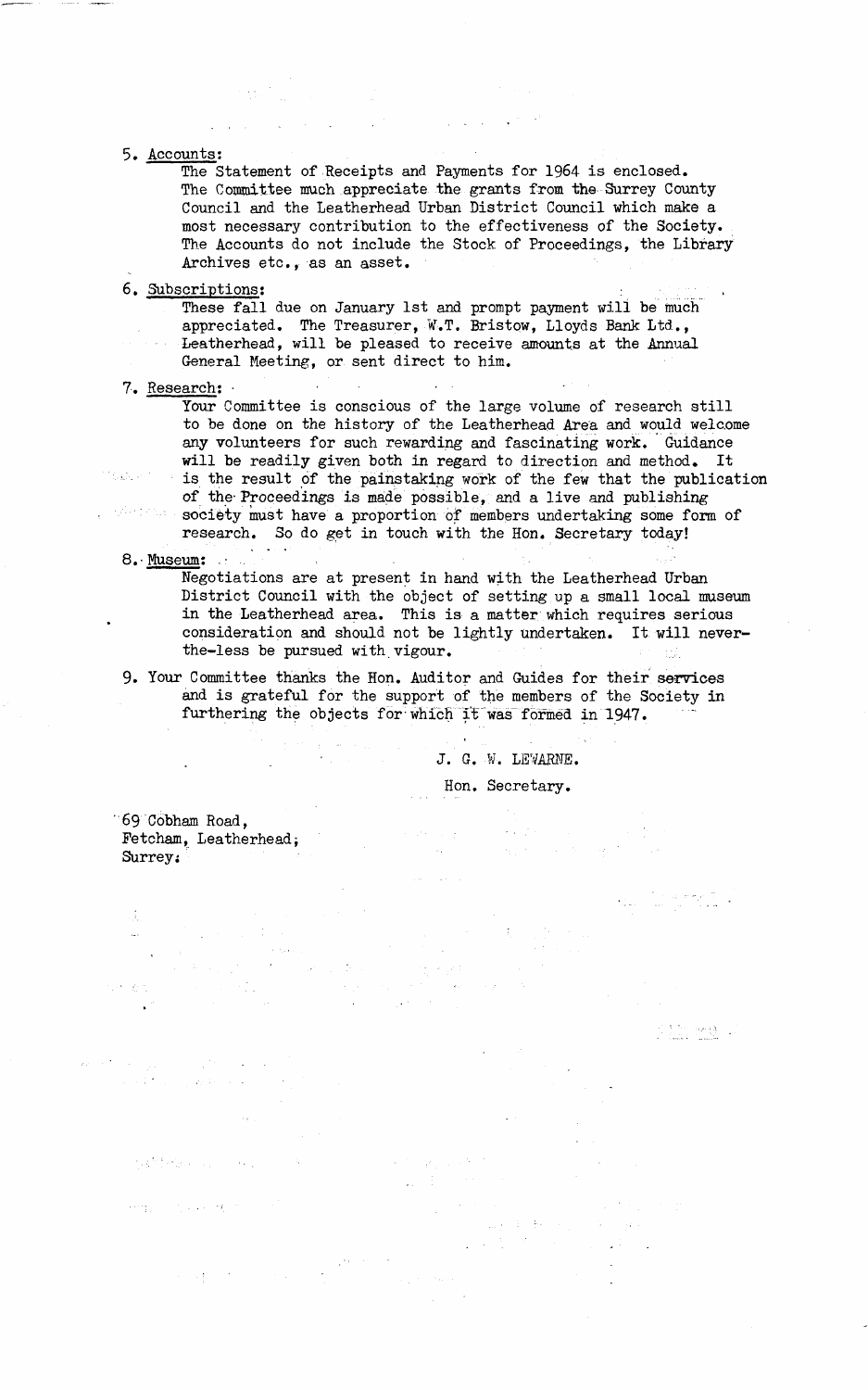### **5. Accounts:**

**The Statement of Receipts and Payments for 1964 is enclosed. The Committee much appreciate the grants from the Surrey County Council and the Leatherhead Urban District Council which make a most necessary contribution to the effectiveness of the Society. The Accounts do not include the Stock of Proceedings, the Library Archives etc., as an asset.**

#### **6. Subscriptions:**

**These fall due on January 1st and prompt payment will be much appreciated. The Treasurer, W.T. Bristow, Lloyds Bank Ltd., Leatherhead, will be pleased to receive amounts at the Annual General Meeting, or sent direct to him.**

#### **7. Research: •**

**Your Committee is conscious of the large volume of research still to be done on the history of the Leatherhead Area and would welcome any volunteers for such rewarding and fascinating work. Guidance will be readily given both in regard to direction and method. It is the result of the painstaking work of the few that the publication of the-Proceedings is made possible, and a live and publishing society must have a proportion of members undertaking some form of**

**research. So do get in touch with the Hon. Secretary today!**

**8.- Museum: •**

ezherpengan

**Negotiations are at present in hand with the Leatherhead Urban District Council with the object of setting up a small local museum in the Leatherhead area. This is a matter which requires serious consideration and should not be lightly undertaken. It will never**the-less be pursued with vigour.

**9. Your Committee thanks the Hon. Auditor and Guides for their services and is grateful for the support of the members of the Society in furthering the objects for which it was formed in 1947.**

**J. G. ¥. LEVARNE.**

**Hon. Secretary.**

 $\mathcal{A}=\mathcal{A}^{\mathcal{A}}$  .

112.80.

**69 Cobham Road, Fetcham, Leatherhead; Surrey;**

**化学的 网络** 

Herby School State (198